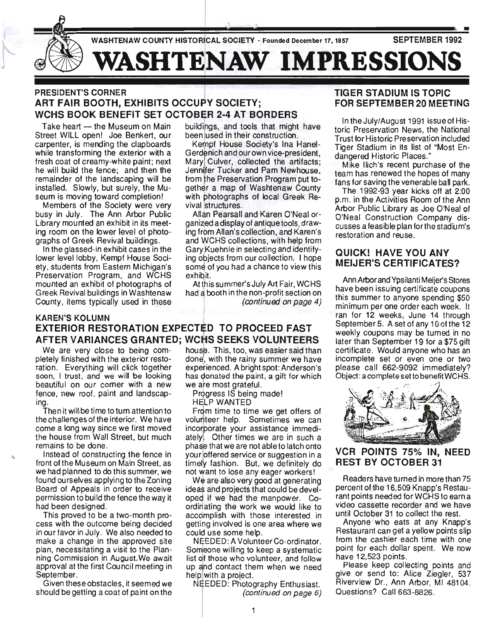

# PRESIDENT'S CORNER ART FAIR BOOTH, EXHIBITS OCCUPY SOCIETY; WCHS BOOK BENEFIT SET OCTOBER 2-4 AT BORDERS

Take heart - the Museum on Main Street WILL open! Joe Benkert, our carpenter, is mending the clapboards while transforming the exterior with a fresh coat of creamy-white paint; next he will build the fence; and then the remainder of the landscaping will be installed. Slowly, but surely, the Museum is moving toward completion!

Members of the Society were very busy in July. The Ann Arbor Public Library mounted an exhibit in its meeting room on the lower level of photographs of Greek Revival buildings.

In the glassed-in exhibit cases in the lower level lobby, Kempf House Society, students from Eastern Michigan's Preservation Program, and WCHS mounted an exhibit of photographs of Greek Revival buildings in Washtenaw County, items typically used in these

buildings, and tools that might have been used in their construction.

Kempf House Society's Ina Hanel-Gerdenich and our own vice-president, Maryl Culver, collected the artifacts; Jennifer Tucker and Pam Newhouse. from the Preservation Program put together a map of Washtenaw County with photographs of local Greek Revival structures.

Allan Pearsall and Karen O'Neal organized a display of antique tools, drawing from Allan's collection, and Karen's and WCHS collections, with help from Gary!Kuehnle in selecting and identifying objects from our collection. I hope some of you had a chance to view this exhibit.

At this summer's July Art Fair, WCHS had a booth in the non-profit section on (continued on page 4)

# **KAREN'S KOLUMN** EXTERIOR RESTORATION EXPECTED TO PROCEED FAST AFTER VARIANCES GRANTED; WCHS SEEKS VOLUNTEERS

beautiful on our corner with a new we are most grateful. fence, new roof, paint and landscap-<br>
Progress IS being made! ing. The contract of the contract of the HELP WANTED

Then it will be time to turn attention to From time to time we get offers of the challenges of the interior. We have volunteer help. Sometimes we can come a long way since we first moved incorporate your assistance immedithe house from Wall Street, but much ately!. Other times we are in such a remains to be done. phase that we are not able to latch onto

,

front of the Museum on Main Street, as timely fashion. But, we definitely do we had planned to do this summer, we not want to lose any eager workers! found ourselves applying to the Zoning We are also very good at generating Board of Appeals in order to receive ideas and projects that could be develpermission to build the fence the way it oped if we had the manpower. Co-

in our favor in July. We also needed to could use some help. make a change in the approved site NEEDED: A Volunteer Co-ordinator. plan, necessitating a visit to the Plan- Someone willing to keep a systematic ning Commission in August.We await list 5f those who volunteer, and follow approval at the first Council meeting in up and contact them when we need September. **help** with a project.

should be getting a coat of paint on the (continued on page 6)

We are very close to being com- house. This, too, was easier said than pletely finished with the exterior resto- done', with the rainy summer we have ration. Everything will click together experienced. A bright spot: Anderson's soon, I trust, and we will be looking has donated the paint, a gift for which

Instead of constructing the fence in your offered service or suggestion in a

had been designed. The second ordinating the work we would like to This proved to be a two-month pro- accomplish with those interested in cess with the outcome being decided getting involved is one area where we

Given these obstacles, it seemed we NEEDED: Photography Enthusiast.

# TIGER STADIUM IS TOPIC FOR SEPTEMBER 20 MEETING

In the July/August 1991 issue of Historic Preservation News, the National Trust for Historic Preservation included Tiger Stadium in its list of "Most Endangered Historic Places."

Mike lIich's recent purchase of the team has renewed the hopes of many fans for saving the venerable ball park.

The 1992-93 year kicks off at 2:00 p.m. in the Activities Room of the Ann Arbor Public Library as Joe O'Neal of O'Neal Construction Company discusses a feasible plan for the stadium's restoration and reuse.

# QUICK! HAVE YOU ANY MEIJER'S CERTIFICATES?

Ann Arbor and Ypsilanti Meijer's Stores have been issuing certificate coupons this summer to anyone spending \$50 minimum per one order each week. It ran for 12 weeks, June 14 through September 5. A set of any 10 of the 12 weekly coupons may be turned in no later than September 19 for a \$75 gift certificate. Would anyone who has an incomplete set or even one or two please call 662-9092 immediately? Object: a complete set to benefit WCHS.



# VCR POINTS 75% IN, NEED REST BY OCTOBER 31

Readers have turned in more than 75 percent of the 16,509 Knapp's Restaurant points needed for WCHS to earn a video cassette recorder and we have until October 31 to collect the rest.

Anyone who eats at any Knapp's Restaurant can get a yellow points slip from the cashier each time with one point for each dollar spent. We now have 12,523 points.

Please keep collecting points and give or send to: Alice Ziegler, 537 Riverview Dr., Ann Arbor, MI 48104. Questions? Call 663-8826.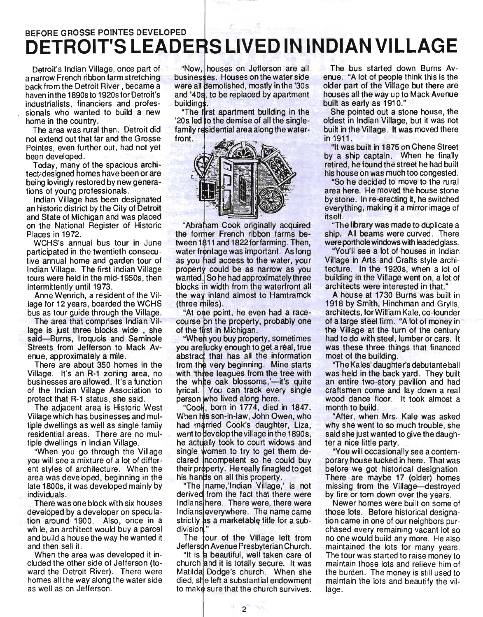# BEFORE GROSSE POINTES DEVELOPED **DETROIT'S LEADERS LIVED IN INDIAN VILLAGE**

. Detroit's Indian Village, once part of a narrow French ribbon farm stretching back from the Detroit River, became a haven in the 1890s to 1920s for Detroit's . industrialists, financiers and professionals who wanted to build a new home in the country. .

The area was rural then. Detroit did not extend out that far and the Grosse Pointes, even further out, had not yet been developed.

Today, many of the spacious architect-designed homes have been or are being lovingly restored by new generations of young professionals.

Indian Village has been designated an historic district by the City of Detroit and State of Michigan and was placed on the National Register of Historic Places in 1972.

WCHS's annual bus tour in June participated in the twentieth consecutive annual home and garden tour of Indian Village. The first Indian Village tours were held in the mid-1950s, then intermittently until 1973.

Anne Wenrich, a resident of the Village for 12 years, boarded the WCHS bus as tour guide through the Village.

The area that comprises Indian Village is just three blocks wide , she said-Burns, Iroquois and Seminole Streets from Jefferson to Mack Avenue, approximately a mile.

There are about 350 homes in the Village. It's an R-1 zoning area, no businesses are allowed. It's a function of the Indian Village Association to protect that R-1 status, she said.

The adjacent area is Historic West Village which has businesses and multiple dwellings as well as single family residential areas. There are no multiple dwellings in Indian Village.

"When you go through the Village you will see a mixture of a lot of different styles of architecture. When the area was developed, beginning in the late 1800s, it was developed mainly by ind ividu als.

There was one block with six houses developed by a developer on speculation around 1900. Also, once in a while, an architect would buy a parcel and build a house the way he wanted it and then sell it.

When the area was developed it included the other side of Jefferson (toward the Detroit River). There were homes all the way along the water side as well as on Jefferson.

"Now, houses on Jefferson are all businesses. Houses on the water side were all demolished, mostly in the '30s and '40s, to be replaced by apartment **buildings** 

"The first apartment building in the 20s led to the demise of all the singlefamily residential area along the waterfront.



"Abraham Cook originally acquired the former French ribbon farms be-<br>tween 1811 and 1822 for farming. Then, water frontage was important. As long as you had access to the water, your property could be as narrow as you wanted. So he had approximately three blocks in width from the waterfront all the way inland almost to Hamtramck (three miles)

"At one point, he even had a racecourse on the property, probably one of the first in Michigan.

"When you buy property, sometimes you are lucky enough to get a real, true abstract that has all the information from the very beginning. Mine starts with 'three leagues from the tree with the white oak blossoms,'-it's quite lyrical. You can track every single person who lived along here.

"Cook, born in 1774, died in 1847. When his son-in-law, John Owen, who had married Cook's daughter, Liza, went to develop the village in the 1890s, he actually took to court widows and single women to try to get them declared incompetent so he could buy their property. He really finagled to get his hands on all this property.

name,'lndian Village,' is not derived from the fact that there were Indians here. There were, there were Indians everywhere. The name came strictly as a marketable title for a subdivision

The tour of the Village left from Jefferson Avenue Presbyterian Church.

"It is a beautiful, well taken care of church and it is totally secure. It was Matilda Dodge's church. When she died, she left a substantial endowment to make sure that the church survives.

The bus started down Burns Avenue. "A lot of people think this is the older part of the Village but there are houses all the way up to Mack Avenue built as early as 1910."

She pointed out a stone house, the oldest in Indian Village, but it was not built in the Village. It was moved there in 1911.

"It Was built in 1875 on Chene Street by a ship captain. When he finally retired, he found the street he had built his house on was much too congested.

"So he decided to move to the rural area here. He moved the house stone by stone. In re-erecting it, he switched everything, making it a mirror image of itself.

"The library was made to duplicate a ship. All beams were curved. There were porthole windows with leaded glass.

"You'll see a lot of houses in Indian Village in Arts and Crafts style architecture. In the 1920s, when a lot of building in the Village went on, a lot of architects were interested in that."

A house at 1730 Burns was built in 1918 by Smith, Hinchman and Grylls, architects, for William Kale, co-founder of a large steel firm. "A lot of money in the Village at the turn of the century had to do with steel, lumber or cars. It was these three things that financed most of the building.

"The Kales' daughter'S debutante ball was held in the back yard. They built an entire two-story pavilion and had craftsmen come and lay down a real wood dance floor. It took almost a month to build.

"After, when Mrs. Kale was asked why she went to so much trouble, she said she just wanted to give the daughter a nice little party.

"You will occasionally see a contemporary house tucked in here. That was before we got historical designation. There are maybe 17 (older) homes missing from the Village-destroyed by fire or torn down over the years.

Newer homes were built on some of those lots. Before historical designation came in one of our neighbors purchased every remaining vacant lot so no one would build any more. He also maintained the lots for many years. The tour was started to raise money to maintain those lots and relieve him of the burden. The money is still used to maintain the lots and beautify the village.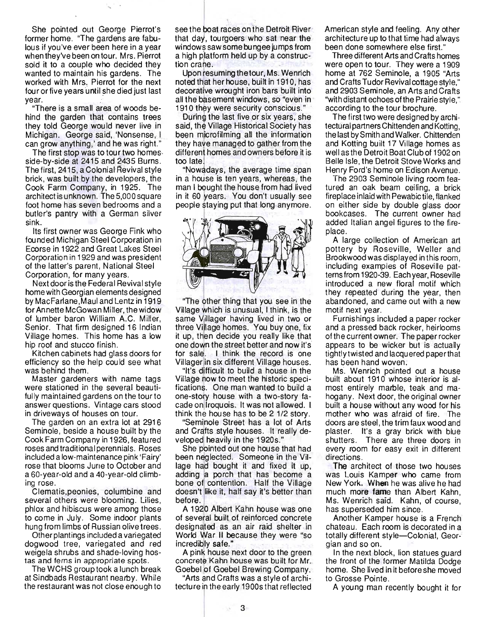She pointed out George Pierrot's former home. "The gardens are fabulous if you've ever been here in a year when they've been on tour. Mrs. Pierrot sold it to a couple who decided they wanted to maintain his gardens. The worked with Mrs. Pierrot for the next four or five years until she died just last year.

 $\ddots$ 

"There is a small area of woods behind the garden that contains trees they teld George weuld never live in Michigan. George said, 'Nonsense, I can grow anything,' and he was right."

The first stop was to tour two homesside-by-side at 2415 and 2435 Burns. The first, 2415, a Colonial Revival style brick, was built by the developers, the Cook Farm Company, in 1925. The architect is unknewn. The 5,000 square foot home has seven bedrooms and a butler's pantry with a German silver sink.

Its first owner was George Fink who founded Michigan Steel Corporation in EcOrse in 1922 and Great Lakes Steel Cerporatien in 1929 and was president of the latter's parent, National Steel Corporation, for many years.

Next door is the Federal Revival style home with Georgian elements designed by MacFarlane,Maul and Lentz in 1919 for Annette McGowan Miller, the widow .of lumber baron William A.C. Miller, Senior. That firm designed 16 Indian Village hemes. This heme has a low hip roof and stucco finish.

Kitchen cabinets had glass doors fer efficiency so the help could see what was behind them.

Master gardeners with name tags were stationed in the several beautifully maintained gardens on the tour to answer questiens. Vintage cars stood in driveways of houses on tour.

The garden on an extra lot at 2916 Seminele, beside a house built by the Cook Farm Company in 1926, featured roses and traditional perennials. Roses included a lew-maintenance pink 'Fairy' rose that blooms June to October and a 60-year-eld and a 40-year-eld climbing rose.

Clematis, peonies, columbine and several others were blooming. Lilies, phlox and hibiscus were among those to come in July. Some indoor plants hung from limbs of Russian olive trees.

Other plantings included a variegated dogwood tree, variegated and red weigela shrubs and shade-loving hostas and ferns in apprepriate spots .

The WCHS group took a lunch break at Sindbads Restaurant nearby. While the restaurant was not close enough to see the boat races on the Detroit River that day, tourgoers who sat near the windows saw some bungee jumps from a high platform held up by a construction crane.

Upon resuming the tour, Ms. Wenrich hoted that her house, built in 1910, has decorative wrought iron bars built into all the basement windows, so "even in 1910 they were security conscious."

During the last five or six years, she said, the Village Historical Society has been microfilming all the information they have managed to gather from the different homes and owners before it is too late.

"Nowadays, the average time span in a house is ten years, whereas, the man I bought the house from had lived in it 60 years. You don't usually see people staying put that long anymore.



"The ether thing that you see in the Village which is unusual, I think, is the same Villager having lived in two or three Village homes. You buy one, fix it up, then decide you really like that one down the street better and now it's for sale. I think the record is one. Villager in six different Village heuses.

"It's dIfficult te build a heuse in the Village now to meet the historic specifications. One man wanted to build a one-story house with a two-story facade on Iroquois. It was not allowed. I think the house has to be 2 1/2 story.

"Seminole Street has a lot of Arts and Crafts style houses. It really developed heavily in the 1920s."

She pointed out one house that had been neglected. Someone in the Village had bought it and fixed it up, adding a porch that has become a bone of contention. Half the Village doesn't like it, half say it's better than before.

A 1920 Albert Kahn house was one of several built of reinforced concrete designated as an air raid shelter in World War II because they were "so incredibly safe."

A pink house next door to the green concrete Kahn house was built for Mr. Goebel of Goebel Brewing Company.

"Arts and Crafts was a style of architectu re ih the early 1900s that reflected American style and feeling. Any ether architecture up to that time had always been done somewhere else first."

Three different Arts and Crafts hemes were open to tour. They were a 1909 home at 762 Seminole, a 1905 "Arts and Crafts Tudor Revival cottage style." and 2903 Seminole, an Arts and Crafts "with distant echees efthe Prairie style," according to the tour brochure.

The first twe were designed by architectural partners Chittenden and Ketting, the last by Smith and Walker. Chittenden and Ketting built 17 Village hemes as well as the Detroit Boat Club of 1902 on Belle Isle, the Detroit Stove Works and Henry Ferd's home en Edisen Avenue.

The 2903 Seminele living room featured an oak beam ceiling, a brick fireplace inlaid with Pewabic tile, flanked en either side by deuble glass door bookcases. The current owner had added Italian angel figures to the fireplace.

A large collection of American art pottery by Roseville, Weller and Brookwood was displayed in this room, including examples of Roseville patterns from 1920-39. Each year, Roseville introduced a new floral motif which they repeated during the year, then abandoned, and came out with a new motif next year.

Furnishings included a paper recker and a pressed back rocker, heirlooms of the current owner. The paper rocker appears to be wicker but is actually tightly twisted and lacquered paper that has been hand woven.

Ms. Wenrich pointed out a house built abeut 1910 whese interior is almost entirely marble, teak and mahogany. Next door, the original owner built a house without any wood for his mother who was afraid of fire. The doors are steel, the trim faux wood and plaster. It's a gray brick with blue shutters. There are three doors in every room for easy exit in different directions.

The architect of those two houses was Louis Kamper who came from New Yerk. When he was alive he had much more fame than Albert Kahn, Ms. Wenrich said. Kahn, of course, has superseded him since.

Another Kamper house is a French chateau. Each room is decerated in a totally different style-Colonial, Georgian and so on.

In the next block, lion statues guard the front of the former Matilda Dodge home. She lived in it before she moved to Grosse Pointe.

A young man recently bought it for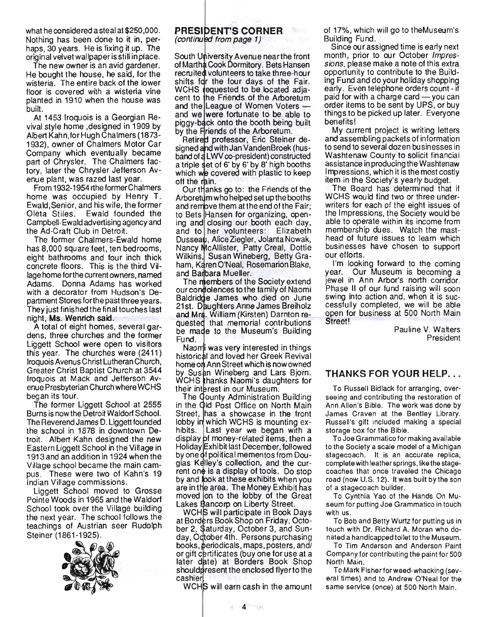what he conside red a steal at \$250 ,000. Nothing has been done to it in, perhaps, 30 years. He is fixing it up. The original velvet wallpaper is still in place.

The new owner is an avid gardener. He bought the house, he said, for the wisteria: The entire back of the lower floor is covered with a wisteria vine planted in 1910 when the house was built.

At 1453 Iroquois is a Georgian Revival style home ,designed in 1909 by Albert Kahn, for Hugh Chalmers (1873- 1932), owner of Chalmers Motor Car Company which eventually became part of Chrysler. The Chalmers factory, later the Chrysler Jefferson Avenue plant, was razed last year.

From 1932-1954 rthe former Chalmers home was occupied by Henry T. Ewald, Senior, and his wife, the former Oleta Stiles. Ewald founded the Campbell-Ewald advertising agency and the Ad-Craft Club in Detroit.

The former Chalmers-Ewald home has 8,000 square feet, ten bedrooms, eight bathrooms and four inch thick concrete floors. This is the third Village home forthe current owners, named Adams. Donna Adams has worked with a decorator from Hudson's Department Stores forthe past three years. They just finished the final touches last night, Ms. Wenrich said.

A total of eight homes, several gardens, three churches and the former Liggett School were open to visitors this year. The churches were (2411) Iroquois Avenus Christ Lutheran Church, Greater Christ Baptist Church at 3544 Iroquois at Mack and Jefferson Avenue Presbyterian Church where WCHS began its tour.

The former Liggett School at 2555 Burns is now the Detroit Waldorf School. The Reverend James D. Liggett founded the school in 1878 in downtown Detroit. Albert Kahn designed the new Eastern Liggett School in the Village in 1913 and an addition in 1924 when the Village school became the main campus. These were two of Kahn's 19 Indian Village commissions.

Liggett School moved to Grosse Pointe Woods in 1965 and the Waldorf School took over the Village building the next year. The school follows the teachings of Austrian seer Rudolph Steiner (1861-1925).



### **PRESIDENT'S CORNER** (continued from page 1)

South University Avenue near the front of Martha Cook Dormitory. Bets Hansen recruited volunteers to take three-hour shifts for the four days of the Fair. WCHS requested to be located adjacent to the Friends of the Arboretum and the League of Women Voters and we were fortunate to be able to piggy-back onto the booth being built by the Friends of the Arboretum.

Retired professor, Eric Steiner designed and with Jan VandenBroek (husband of LWV co-president) constructed a triple set of 6' by 6' by 8' high booths which we covered with plastic to keep off the rain.

Our thanks go to: the Friends of the Arboretum who helped set up the booths and remove them at the end of the Fair: to Bets Hansen for organizing, opening and closing our booth each day, and to her volunteers: Elizabeth Dusseau, Alice Ziegler, Jolanta Nowak, Nancy McAllister, Patty Creal, Dottie Wilkins, Susan Wineberg, Betty Graham, Karen O'Neal, Rosemarion Blake, and Barbara Mueller.

The members of the Society extend our condolences to the family of Naomi Baldridge James who died on June 21 st. Daughters Anne James Breiholz and Mrs. William (Kirsten) Darnton requested that memorial contributions be made to the Museum's Building Fund.

Naomi was very interested in things historical and loved her Greek Revival home on Ann Street which is now owned by Susan Wineberg and Lars Bjorn. WCHS thanks Naomi's daughters for their interest in our Museum.

The Gounty Administration Building in the Old Post Office on North Main Street, has a showcase in the front lobby in which WCHS is mounting exhibits. Last year we began with a display of money-related items, then a Holiday Exhibit last December, followed by one of political mementos from Douglas Kelley's collection, and the current on $\phi$  is a display of tools. Do stop by and look at these exhibits when you are in the area. The Money Exhibit has moved on to the lobby of the Great Lakes Bancorp on Liberty Street.

WCHS will participate in Book Days at Borders Book Shop on Friday, October 2, \$aturday, October 3, and Sunday, Odtober 4th. Persons purchasing books, periodicals, maps, posters, and/ or gift certificates (buy one for use at a later date) at Borders Book Shop should present the enclosed flyer to the cashier

WCHS will earn cash in the amount

of 17%, which will go to theMuseum's Building Fund.

Since our assigned time is early next month, prior to our October Impressions, please make a note of this extra opportunity to contribute to the Building Fund and do your holiday shopping early. Even telephone orders count - if paid for with a charge card  $-$  you can order items to be sent by UPS, or buy things to be picked up later. Everyone benefits!

My current project is writing letters and assembling packets of information to send to several dozen businesses in Washtenaw County to solicit financial assistance in producing the Washtenaw Impressions, which it is the most costly item in the Society's yearly budget.

The Board has determined that if WCHS would find two or three underwriters for each of the eight issues of the Impressions, the Society would be able to operate within its income from membership dues. Watch the masthead of future issues to learn which businesses have chosen to support our efforts.

I'm looking forward to the coming year. Our Museum is becoming a jewel in Ann Arbor's north corridor. Phase II of our fund raising Will soon swing into action and, when it is successfully completed, we will be able open for business at 500 North Main.<br>Street!

> Pauline V. Walters President

# **THANKS FOR YOUR HELP .** ..

To Russell Bidlack for arranging, overseeing and contributing the restoration of Ann Allen's Bible. The work was done by James Craven at the Bentley Library. Russell's gift included making a special storage box for the Bible.

To Joe Grammatico for making available to the Society a scale model of a Michigan stagecoach. It is an accurate replica, complete with leather springs, like the stagecoaches that once traveled the Chicago road (now U.S. 12). It was built by the son of a stagecoach builder.

To Cynthia Yao of the Hands On Museum for putting Joe Grammatico in touch with us.

To Bob and Betty Wurtz for putting us in touch with Dr. Richard A. Moran who donated a handicapped toilet to the Museum.

To Tim Anderson and Anderson Paint Company for contributing the paint for 500 North Main.

To Mark Fisher for weed-whacking (several times) and to Andrew O'Neal for the same service (once) at 500 North Main.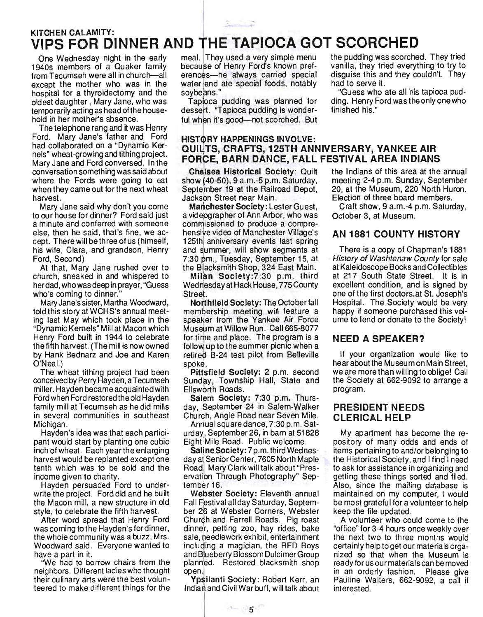# er and the contract of the contract of the contract of the contract of the contract of the contract of the contract of the contract of the contract of the contract of the contract of the contract of the contract of the con VIPS FOR DINNER AND THE TAPIOCA GOT SCORCHED

1940s members of a Quaker family because of Henry Ford's known preffrom Tecumseh were all in church—all erences—he always carried special disguise this and they couldn't. They except the mother who was in the water and ate special foods, notably had to serve it. hospital for a thyroidectomy and the soybeans." The second section of "Guess who ate all his tapioca pudoldest daughter, Mary Jane, who was Tapioca pudding was planned for ding. Henry Ford was the only one who temporarily acting as head of the house- dessert. "Tapioca pudding is wonder- finished his." hold in her mother's absence. The ful when it's good-not scorched. But

The telephone rang and it was Henry<br>Ford. Mary Jane's father and Ford Ford. Mary Jane's father and Ford HISTORY HAPPENINGS INVOLVE:<br>had collaborated on a "Dynamic Ker- OLILLTS ORAETS 125TH AND Mary Jane and Ford conversed. In the FORCE, BARN DANCE, FALL FESTIVAL AREA INDIANS<br>conversation something was said about Chelsea Historical Society: Quilt the Indians of this area at the annual where the Fords were going to eat show (40-50), 9 a.m.-5 p.m. Saturday, meeting 2-4 p.m. Sunday, September when they came out for the next wheat September 19 at the Railroad Depot, 20, at the Museum, 220 North Huron.<br>Jackson Street near Main. Election of three board members. harvest. **In the Street of Street Lines and Street of three conducts** Election of three board members.

to our house for dinner? Ford said just a videpgrapher of Ann Arbor, who was October 3, at Museum. a minute and conferred with someone commissioned to produce a compreelse, then he said, that's fine, we ac- hensive video of Manchester Village's AN 1881 COUNTY HISTORY<br>cept. There will be three of us (himself, 125th anniversary events last spring cept. There will be three of us (himself, his wife, Clara, and grandson, Henry and summer, will show segments at Ford, Second) 7:30 pm., Tuesday, September 15, at

At that, Mary Jane rushed over to the Blacksmith Shop, 324 East Main. church, sneaked in and whispered to Milan Society:7:30 p.m. third herdad, who was deep in prayer, "Guess Wednesday at Hack House, 775 County who's coming to dinner." Street.

told this story at WCHS's annual meet- membership meeting will feature a ing last May which took place in the speaker from the Yankee Air Force "Dynamic Kernels" Mill at Macon which Museum at Willow Run. Ca1l665-8077 Henry Ford built in 1944 to celebrate for time and place. The program is a  $NEED$  A SPEAKER?<br>the fifth harvest. (The mill is now owned follow up to the summer picnic when a by Hank Bednarz and Joe and Karen retired B-24 test pilot from Belleville O'Neal.) spoke.

conceivedbyPerryHayden,aTecumseh Sunday, Township Hall, State and miller. Hayden became acquainted with Ellsworth Roads. Ford when Ford restored the old Hayden Salem Society: 7:30 p.m. Thursfamily mill at Tecumseh as he did mills day, September 24 in Salem-Walker PRESIDENT NEEDS in several communities in southeast Church, Angle Road near Seven Mile. CLERICAL HELP<br>Michigan. Michigan. Annual square dance. 7:30 p.m. Sat-

pant would start by planting one cubic Eight IMile Road. Public welcome. inch of wheat. Each year the enlarging Saline Society: 7 p.m. third Wednesharvest would be replanted except one day at Senior Center, 7605 North Maple tenth which was to be sold and the Road. Mary Clark will talk about "Presincome given to charity. ervation Through Photography" Sep-

Hayden persuaded Ford to under- tember 16. write the project. Ford did and he built Webster Society: Eleventh annual the Macon mill, a new structure in old Fall Festival all day Saturday, Septemstyle, to celebrate the fifth harvest. ber 26 at Webster Corners, Webster

was coming to the Hayden's for dinner, dinner, petting zoo, hay rides, bake the whole community was a buzz, Mrs. sale,  $\phi$ eedlework exhibit, entertainment Woodward said. Everyone wanted to including a magician, the RFD Boys

neighbors. Different ladies who thought open. their culinary arts were the best volun-<br>
Ypsilanti Society: Robert Kerr, an teered to make different things for the Indiariand Civil War buff, will talk about

One Wednesday night in the early meal. They used a very simple menu the pudding was scorched. They tried<br>940s members of a Quaker family because of Henry Ford's known pref- vanilla, they tried everything to try to

# had collaborated on a "Dynamic Ker- QUILTS, CRAFTS, 125TH ANNIVERSARY, YANKEE AIR<br>nels" wheat-growing and tithing project. FOROF, RABN BANGE, FALL FEGTIVAL AREA INDIANG

Mary Jane said why don't you come Manchester Society: Lester Guest, Craft show, 9 a.m.-4 p.m. Saturday,

Mary Jane's sister, Martha Woodward, Northfield Society: The October fall follow up to the summer picnic when a

The wheat tithing project had been Pittsfield Society: 2 p.m. second

Annual square dance, 7:30 p.m. Sat-Hayden's idea was that each partici- urday, September 26, in barn at 51828

After word spread that Henry Ford Church and Farrell Roads. Pig roast have a part in it.<br>We had to borrow chairs from the planned. Restored blacksmith shop planned. Restored blacksmith shop

 $\sim$  5  $\sim$ 

There is a copy of Chapman's 1881 History of Washtenaw County for sale at Kaleidoscope Books and Collectibles at 217 South State Street. It is in excellent condition, and is signed by one of the first doctors.at St. Joseph's Hospital. The Society would be very happy if someone purchased this volume to lend or donate to the Society!

If your organization would like to hear about the Museum on Main Street, we are more than willing to oblige! Call the Society at 662-9092 to arrange a program.

My apartment has become the repository of many odds and ends of items pertaining to and/or belonging to the Historical Society, and I find I need to ask for assistance in organizing and getting these things sorted and filed. Also, since the mailing database is maintained on my computer, I would be most grateful for a volu nteer to help keep the file updated.

A volunteer who could come to the "office" for 3-4 hours once weekly over the next two to three months would certainly help to get our materials organized so that when the Museum is ready for us our materials can be moved in an orderly fashion. Please give Pauline Walters, 662-9092, a call if interested .